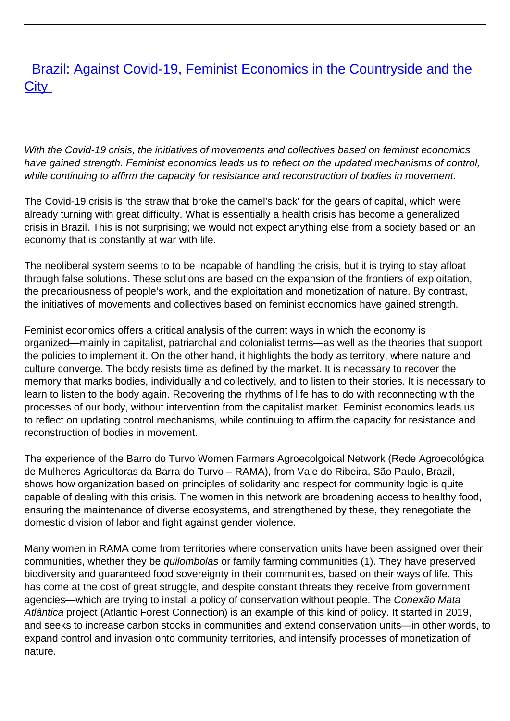## **[Brazil: Against Covid-19, Feminist Economics in the Countryside and the](/bulletin-articles/brazil-against-covid-19-feminist-economics-in-the-countryside-and-the-city) [City](/bulletin-articles/brazil-against-covid-19-feminist-economics-in-the-countryside-and-the-city)**

With the Covid-19 crisis, the initiatives of movements and collectives based on feminist economics have gained strength. Feminist economics leads us to reflect on the updated mechanisms of control, while continuing to affirm the capacity for resistance and reconstruction of bodies in movement.

The Covid-19 crisis is 'the straw that broke the camel's back' for the gears of capital, which were already turning with great difficulty. What is essentially a health crisis has become a generalized crisis in Brazil. This is not surprising; we would not expect anything else from a society based on an economy that is constantly at war with life.

The neoliberal system seems to to be incapable of handling the crisis, but it is trying to stay afloat through false solutions. These solutions are based on the expansion of the frontiers of exploitation, the precariousness of people's work, and the exploitation and monetization of nature. By contrast, the initiatives of movements and collectives based on feminist economics have gained strength.

Feminist economics offers a critical analysis of the current ways in which the economy is organized—mainly in capitalist, patriarchal and colonialist terms—as well as the theories that support the policies to implement it. On the other hand, it highlights the body as territory, where nature and culture converge. The body resists time as defined by the market. It is necessary to recover the memory that marks bodies, individually and collectively, and to listen to their stories. It is necessary to learn to listen to the body again. Recovering the rhythms of life has to do with reconnecting with the processes of our body, without intervention from the capitalist market. Feminist economics leads us to reflect on updating control mechanisms, while continuing to affirm the capacity for resistance and reconstruction of bodies in movement.

The experience of the Barro do Turvo Women Farmers Agroecolgoical Network (Rede Agroecológica de Mulheres Agricultoras da Barra do Turvo – RAMA), from Vale do Ribeira, São Paulo, Brazil, shows how organization based on principles of solidarity and respect for community logic is quite capable of dealing with this crisis. The women in this network are broadening access to healthy food, ensuring the maintenance of diverse ecosystems, and strengthened by these, they renegotiate the domestic division of labor and fight against gender violence.

Many women in RAMA come from territories where conservation units have been assigned over their communities, whether they be quilombolas or family farming communities (1). They have preserved biodiversity and guaranteed food sovereignty in their communities, based on their ways of life. This has come at the cost of great struggle, and despite constant threats they receive from government agencies—which are trying to install a policy of conservation without people. The Conexão Mata Atlântica project (Atlantic Forest Connection) is an example of this kind of policy. It started in 2019, and seeks to increase carbon stocks in communities and extend conservation units—in other words, to expand control and invasion onto community territories, and intensify processes of monetization of nature.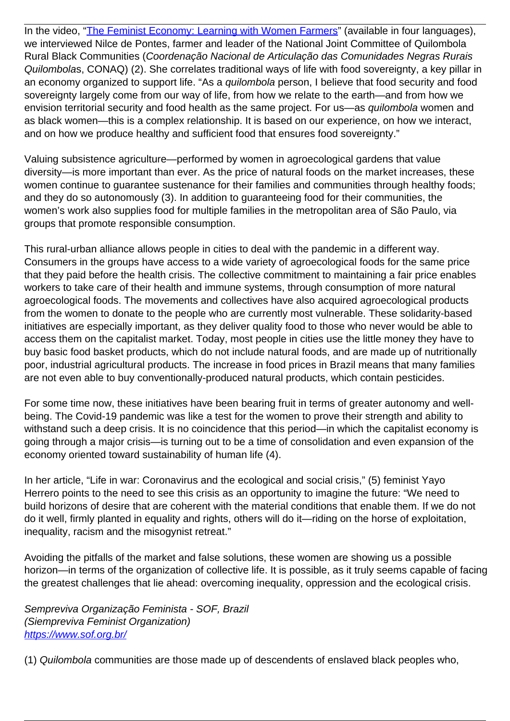In the video, ["The Feminist Economy: Learning with Women Farmers](https://wrm.us9.list-manage.com/track/click?u=f91b651f7fecdf835b57dc11d&id=23ef871611&e=08ad7e6520)" (available in four languages), we interviewed Nilce de Pontes, farmer and leader of the National Joint Committee of Quilombola Rural Black Communities (Coordenação Nacional de Articulação das Comunidades Negras Rurais Quilombolas, CONAQ) (2). She correlates traditional ways of life with food sovereignty, a key pillar in an economy organized to support life. "As a *quilombola* person, I believe that food security and food sovereignty largely come from our way of life, from how we relate to the earth—and from how we envision territorial security and food health as the same project. For us—as quilombola women and as black women—this is a complex relationship. It is based on our experience, on how we interact, and on how we produce healthy and sufficient food that ensures food sovereignty."

Valuing subsistence agriculture—performed by women in agroecological gardens that value diversity—is more important than ever. As the price of natural foods on the market increases, these women continue to guarantee sustenance for their families and communities through healthy foods; and they do so autonomously (3). In addition to guaranteeing food for their communities, the women's work also supplies food for multiple families in the metropolitan area of São Paulo, via groups that promote responsible consumption.

This rural-urban alliance allows people in cities to deal with the pandemic in a different way. Consumers in the groups have access to a wide variety of agroecological foods for the same price that they paid before the health crisis. The collective commitment to maintaining a fair price enables workers to take care of their health and immune systems, through consumption of more natural agroecological foods. The movements and collectives have also acquired agroecological products from the women to donate to the people who are currently most vulnerable. These solidarity-based initiatives are especially important, as they deliver quality food to those who never would be able to access them on the capitalist market. Today, most people in cities use the little money they have to buy basic food basket products, which do not include natural foods, and are made up of nutritionally poor, industrial agricultural products. The increase in food prices in Brazil means that many families are not even able to buy conventionally-produced natural products, which contain pesticides.

For some time now, these initiatives have been bearing fruit in terms of greater autonomy and wellbeing. The Covid-19 pandemic was like a test for the women to prove their strength and ability to withstand such a deep crisis. It is no coincidence that this period—in which the capitalist economy is going through a major crisis—is turning out to be a time of consolidation and even expansion of the economy oriented toward sustainability of human life (4).

In her article, "Life in war: Coronavirus and the ecological and social crisis," (5) feminist Yayo Herrero points to the need to see this crisis as an opportunity to imagine the future: "We need to build horizons of desire that are coherent with the material conditions that enable them. If we do not do it well, firmly planted in equality and rights, others will do it—riding on the horse of exploitation, inequality, racism and the misogynist retreat."

Avoiding the pitfalls of the market and false solutions, these women are showing us a possible horizon—in terms of the organization of collective life. It is possible, as it truly seems capable of facing the greatest challenges that lie ahead: overcoming inequality, oppression and the ecological crisis.

Sempreviva Organização Feminista - SOF, Brazil (Siempreviva Feminist Organization) [https://www.sof.org.br/](https://wrm.us9.list-manage.com/track/click?u=f91b651f7fecdf835b57dc11d&id=f069be2bdd&e=08ad7e6520)

(1) Quilombola communities are those made up of descendents of enslaved black peoples who,